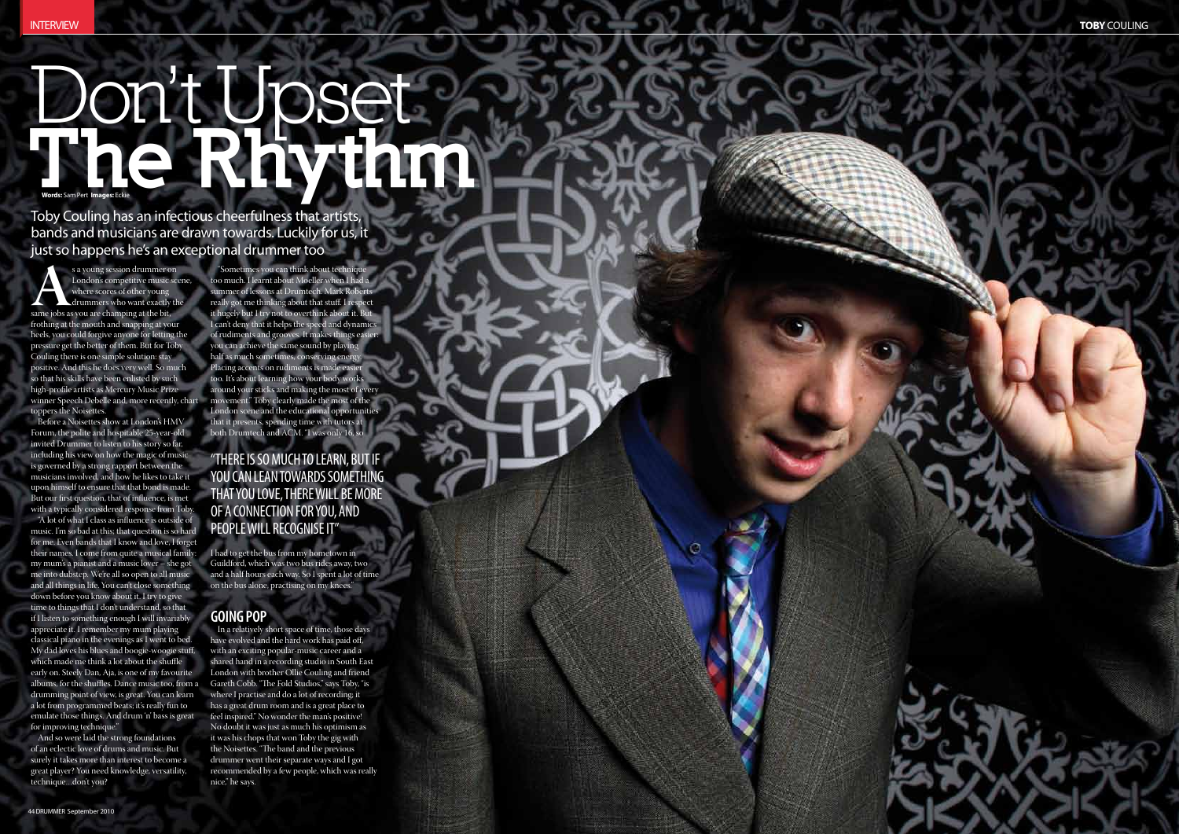# Don't Upset The Rhythm **Words:** Sam Pert **Images:** Eckie

"Sometimes you can think about technique too much. I learnt about Moeller when I had a summer of lessons at Drumtech. Mark Roberts really got me thinking about that stuff. I respect it hugely but I try not to overthink about it. But I can't deny that it helps the speed and dynamics of rudiments and grooves. It makes things easie you can achieve the same sound by playing half as much sometimes, conserving energy, Placing accents on rudiments is made easie too. It's about learning how your body works around your sticks and making the most of every movement." Toby clearly made the most of the London scene and the educational opportunities that it presents, spending time with tutors at both Drumtech and ACM. "I was only 16, so

I had to get the bus from my hometown in Guildford, which was two bus rides away, two and a half hours each way. So I spent a lot of time on the bus alone, practising on my knees."

# **Goin g Po**

s a young session drummer on<br>
London's competitive music scome<br>
drummers who want exactly the<br>
same jobs as you are champing at the bit,<br>
frothing at the mouth and snapping at your<br>
same in the mouth and snapping at your London's competitive music scene, where scores of other young drummers who want exactly the frothing at the mouth and snapping at your heels, you could forgive anyone for letting the pressure get the better of them. But for Toby Couling there is one simple solution: stay positive. And this he does very well. So much so that his skills have been enlisted by such high-profile artists as Mercury Music Prize winner Speech Debelle and, more recently, chart toppers the Noisettes.

Before a Noisettes show at London's HMV Forum, the polite and hospitable 25-year-old invited Drummer to listen to his story so far, including his view on how the magic of music is governed by a strong rapport between the musicians involved, and how he likes to take it upon himself to ensure that that bond is made. But our first question, that of influence, is met with a typically considered response from Toby. "A lot of what I class as influence is outside of music. I'm so bad at this; that question is so hard for me. Even bands that I know and love, I forget their names. I come from quite a musical family: my mum's a pianist and a music lover – she got me into dubstep. We're all so open to all music and all things in life. You can't close something down before you know about it. I try to give time to things that I don't understand, so that if I listen to something enough I will invariably appreciate it. I remember my mum playing classical piano in the evenings as I went to bed. My dad loves his blues and boogie-woogie stuff, which made me think a lot about the shuffle early on. Steely Dan, Aja, is one of my favourite albums, for the shuffles. Dance music too, from a drumming point of view, is great. You can learn a lot from programmed beats; it's really fun to emulate those things. And drum 'n' bass is great for improving technique." Toby Couling has an infectious cheerfulness that artists,<br>bands and musicians are drawn towards. Lucking for us, if<br>yields are drawn towards. Lucking for us, if<br> $\sum_{n=1}^{\infty}$  interaction are drawn towards in the signal o

In a relatively short space of time, those days have evolved and the hard work has paid off, with an exciting popular-music career and a shared hand in a recording studio in South East London with brother Ollie Couling and friend Gareth Cobb. "The Fold Studios," says Toby, "is where I practise and do a lot of recording; it has a great drum room and is a great place to feel inspired." No wonder the man's positive! No doubt it was just as much his optimism as it was his chops that won Toby the gig with the Noisettes. "The band and the previous drummer went their separate ways and I got recommended by a few people, which was really nice," he says.

And so were laid the strong foundations of an eclectic love of drums and music. But surely it takes more than interest to become a great player? You need knowledge, versatility,

bands and musicians are drawn towards. Luckily for us, it just so happens he's an exceptional drummer too

#### "There is so much to learn, bu t if you can lean towards some thing that you love, there will be more of a connec tion for you, and people will recognise i "t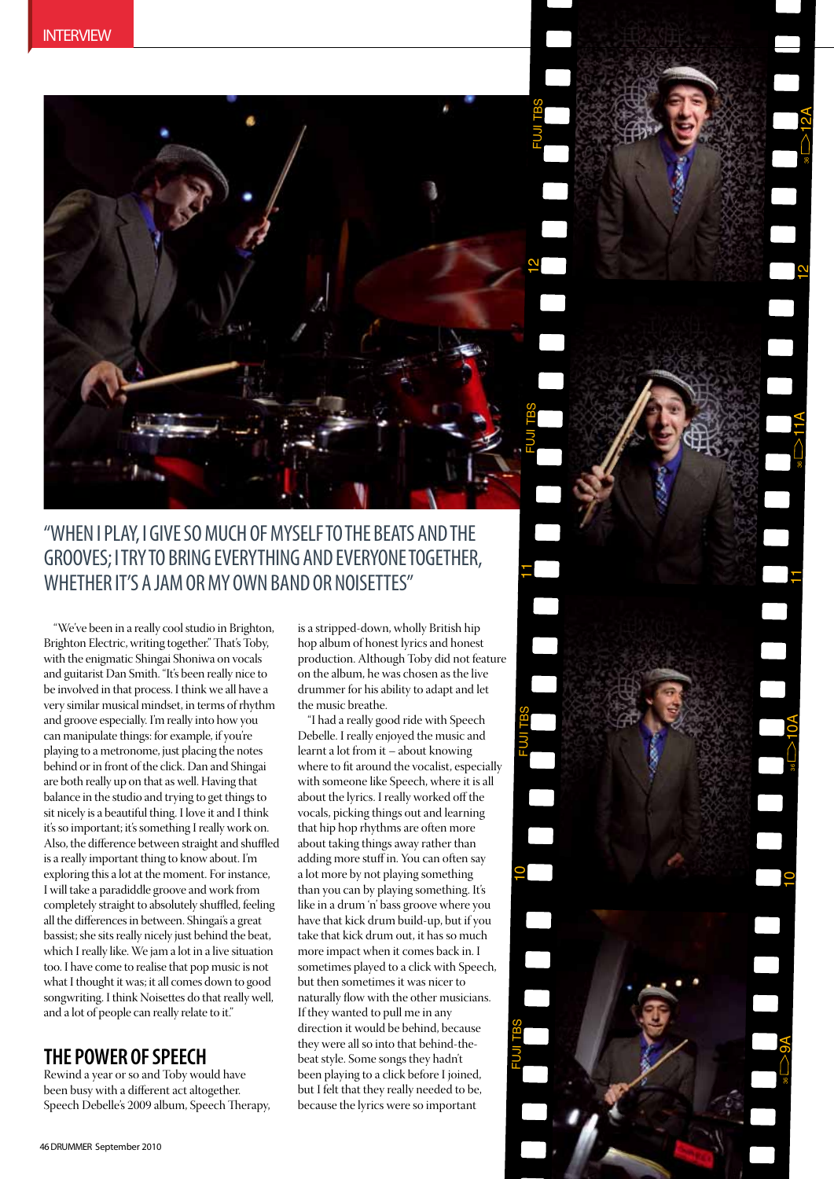

# "When I play, I give so much of myself to the beats and the grooves; Itry to bring everything and everyone together, WHETHER IT'S A JAM OR MY OWN BAND OR NOISETTES"

"We've been in a really cool studio in Brighton, Brighton Electric, writing together." That's Toby, with the enigmatic Shingai Shoniwa on vocals and guitarist Dan Smith. "It's been really nice to be involved in that process. I think we all have a very similar musical mindset, in terms of rhythm and groove especially. I'm really into how you can manipulate things: for example, if you're playing to a metronome, just placing the notes behind or in front of the click. Dan and Shingai are both really up on that as well. Having that balance in the studio and trying to get things to sit nicely is a beautiful thing. I love it and I think it's so important; it's something I really work on. Also, the difference between straight and shuffled is a really important thing to know about. I'm exploring this a lot at the moment. For instance, I will take a paradiddle groove and work from completely straight to absolutely shuffled, feeling all the differences in between. Shingai's a great bassist; she sits really nicely just behind the beat, which I really like. We jam a lot in a live situation too. I have come to realise that pop music is not what I thought it was; it all comes down to good songwriting. I think Noisettes do that really well, and a lot of people can really relate to it."

#### **The Power Of Speech**

Rewind a year or so and Toby would have been busy with a different act altogether. Speech Debelle's 2009 album, Speech Therapy, is a stripped-down, wholly British hip hop album of honest lyrics and honest production. Although Toby did not feature on the album, he was chosen as the live drummer for his ability to adapt and let the music breathe.

11

FUJI TB S

10

FUJI TB ഗ 11

10

36

9A

10 A

11 A

122011

36

12A

"I had a really good ride with Speech Debelle. I really enjoyed the music and learnt a lot from it – about knowing where to fit around the vocalist, especially with someone like Speech, where it is all about the lyrics. I really worked off the vocals, picking things out and learning that hip hop rhythms are often more about taking things away rather than adding more stuff in. You can often say a lot more by not playing something than you can by playing something. It's like in a drum 'n' bass groove where you have that kick drum build-up, but if you take that kick drum out, it has so much more impact when it comes back in. I sometimes played to a click with Speech, but then sometimes it was nicer to naturally flow with the other musicians. If they wanted to pull me in any direction it would be behind, because they were all so into that behind-thebeat style. Some songs they hadn't been playing to a click before I joined, but I felt that they really needed to be, because the lyrics were so important